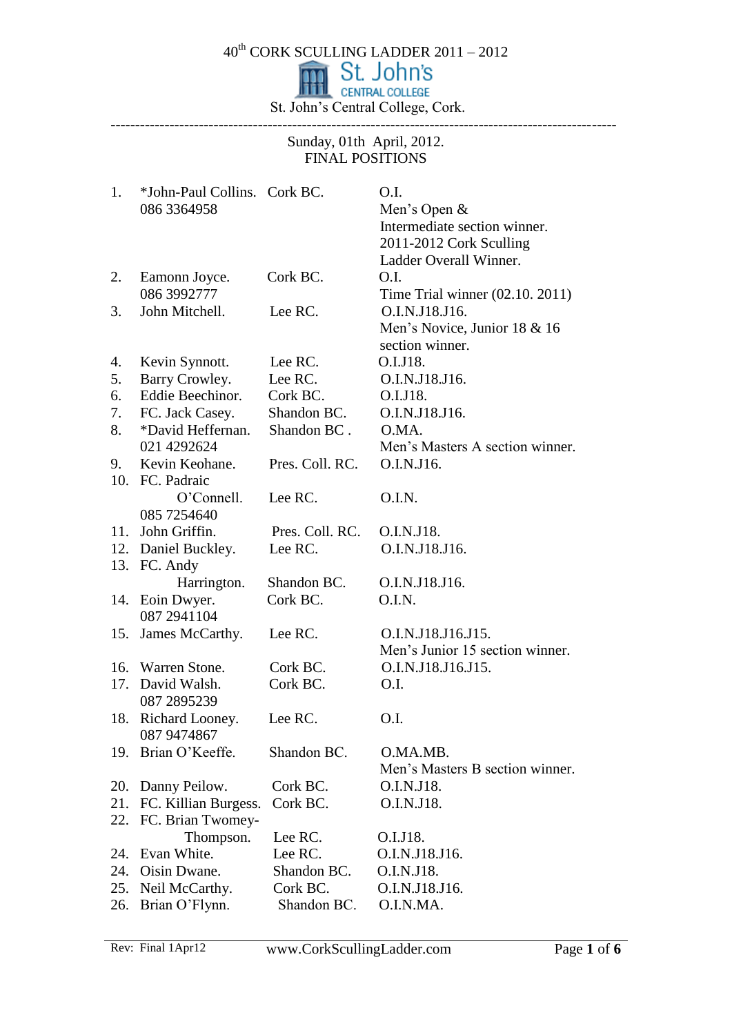### 40th CORK SCULLING LADDER 2011 – 2012

St. John's Central College, Cork.

### -------------------------------------------------------------------------------------------------------

Sunday, 01th April, 2012. FINAL POSITIONS

| 1.  | *John-Paul Collins. Cork BC. |                 | O.I.                            |
|-----|------------------------------|-----------------|---------------------------------|
|     | 086 3364958                  |                 | Men's Open &                    |
|     |                              |                 | Intermediate section winner.    |
|     |                              |                 | 2011-2012 Cork Sculling         |
|     |                              |                 | Ladder Overall Winner.          |
| 2.  | Eamonn Joyce.                | Cork BC.        | O.I.                            |
|     | 086 3992777                  |                 | Time Trial winner (02.10. 2011) |
| 3.  | John Mitchell.               | Lee RC.         | O.I.N.J18.J16.                  |
|     |                              |                 | Men's Novice, Junior 18 & 16    |
|     |                              |                 | section winner.                 |
| 4.  | Kevin Synnott.               | Lee RC.         | O.I.J18.                        |
| 5.  | Barry Crowley.               | Lee RC.         | O.I.N.J18.J16.                  |
| 6.  | Eddie Beechinor.             | Cork BC.        | O.I.J18.                        |
| 7.  | FC. Jack Casey.              | Shandon BC.     | O.I.N.J18.J16.                  |
| 8.  | *David Heffernan.            | Shandon BC.     | O.MA.                           |
|     | 021 4292624                  |                 | Men's Masters A section winner. |
| 9.  | Kevin Keohane.               | Pres. Coll. RC. | O.I.N.J16.                      |
|     | 10. FC. Padraic              |                 |                                 |
|     | O'Connell.                   | Lee RC.         | O.I.N.                          |
|     | 085 7254640                  |                 |                                 |
|     | 11. John Griffin.            | Pres. Coll. RC. | O.I.N.J18.                      |
|     | 12. Daniel Buckley.          | Lee RC.         | O.I.N.J18.J16.                  |
|     | 13. FC. Andy                 |                 |                                 |
|     | Harrington.                  | Shandon BC.     | O.I.N.J18.J16.                  |
|     | 14. Eoin Dwyer.              | Cork BC.        | O.I.N.                          |
|     | 087 2941104                  |                 |                                 |
|     | 15. James McCarthy.          | Lee RC.         | O.I.N.J18.J16.J15.              |
|     |                              |                 | Men's Junior 15 section winner. |
|     | 16. Warren Stone.            | Cork BC.        | O.I.N.J18.J16.J15.              |
| 17. | David Walsh.                 | Cork BC.        | O.I.                            |
|     | 087 2895239                  |                 |                                 |
|     | 18. Richard Looney.          | Lee RC.         | O.I.                            |
|     | 087 9474867                  |                 |                                 |
| 19. | Brian O'Keeffe.              | Shandon BC.     | O.MA.MB.                        |
|     |                              |                 | Men's Masters B section winner. |
| 20. | Danny Peilow.                | Cork BC.        | O.I.N.J18.                      |
| 21. | FC. Killian Burgess.         | Cork BC.        | O.I.N.J18.                      |
| 22. | FC. Brian Twomey-            |                 |                                 |
|     | Thompson.                    | Lee RC.         | O.I.J18.                        |
| 24. | Evan White.                  | Lee RC.         | O.I.N.J18.J16.                  |
| 24. | Oisin Dwane.                 | Shandon BC.     | O.I.N.J18.                      |
| 25. | Neil McCarthy.               | Cork BC.        | O.I.N.J18.J16.                  |
| 26. | Brian O'Flynn.               | Shandon BC.     | O.I.N.MA.                       |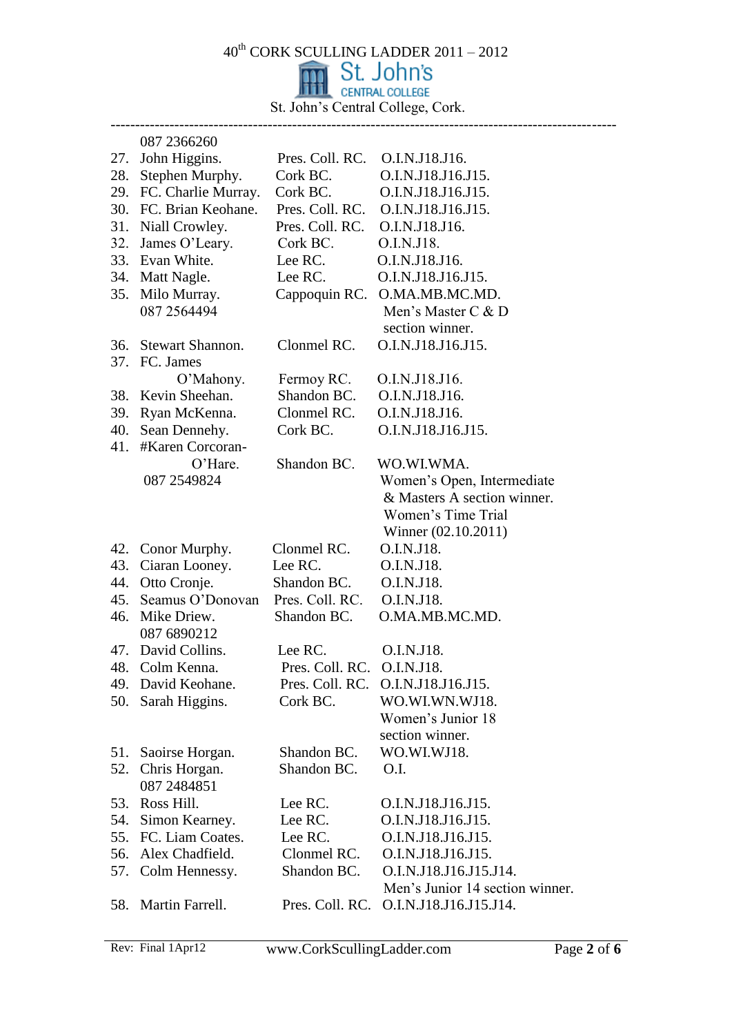40th CORK SCULLING LADDER 2011 – 2012

| St. John's Central College, Cork. |  |
|-----------------------------------|--|
|                                   |  |
|                                   |  |

|     | 087 2366260             |                 |                                    |
|-----|-------------------------|-----------------|------------------------------------|
| 27. | John Higgins.           | Pres. Coll. RC. | O.I.N.J18.J16.                     |
|     | 28. Stephen Murphy.     | Cork BC.        | O.I.N.J18.J16.J15.                 |
|     | 29. FC. Charlie Murray. | Cork BC.        | O.I.N.J18.J16.J15.                 |
|     | 30. FC. Brian Keohane.  |                 | Pres. Coll. RC. O.I.N.J18.J16.J15. |
| 31. | Niall Crowley.          | Pres. Coll. RC. | O.I.N.J18.J16.                     |
| 32. | James O'Leary.          | Cork BC.        | O.I.N.J18.                         |
|     | 33. Evan White.         | Lee RC.         | O.I.N.J18.J16.                     |
|     | 34. Matt Nagle.         | Lee RC.         | O.I.N.J18.J16.J15.                 |
| 35. | Milo Murray.            | Cappoquin RC.   | O.MA.MB.MC.MD.                     |
|     | 087 2564494             |                 | Men's Master C & D                 |
|     |                         |                 | section winner.                    |
|     | 36. Stewart Shannon.    | Clonmel RC.     | O.I.N.J18.J16.J15.                 |
|     | 37. FC. James           |                 |                                    |
|     | O'Mahony.               | Fermoy RC.      | O.I.N.J18.J16.                     |
|     | 38. Kevin Sheehan.      | Shandon BC.     | O.I.N.J18.J16.                     |
|     | 39. Ryan McKenna.       | Clonmel RC.     | O.I.N.J18.J16.                     |
|     | 40. Sean Dennehy.       | Cork BC.        | O.I.N.J18.J16.J15.                 |
| 41. | #Karen Corcoran-        |                 |                                    |
|     | O'Hare.                 | Shandon BC.     | WO.WI.WMA.                         |
|     | 087 2549824             |                 | Women's Open, Intermediate         |
|     |                         |                 | & Masters A section winner.        |
|     |                         |                 | Women's Time Trial                 |
|     |                         |                 | Winner (02.10.2011)                |
|     | 42. Conor Murphy.       | Clonmel RC.     | O.I.N.J18.                         |
|     | 43. Ciaran Looney.      | Lee RC.         | O.I.N.J18.                         |
|     | 44. Otto Cronje.        | Shandon BC.     | O.I.N.J18.                         |
|     | 45. Seamus O'Donovan    | Pres. Coll. RC. | O.I.N.J18.                         |
| 46. | Mike Driew.             | Shandon BC.     | O.MA.MB.MC.MD.                     |
|     | 087 6890212             |                 |                                    |
|     | 47. David Collins.      | Lee RC.         | O.I.N.J18.                         |
| 48. | Colm Kenna.             | Pres. Coll. RC. | O.I.N.J18.                         |
| 49. | David Keohane.          | Pres. Coll. RC. | O.I.N.J18.J16.J15                  |
|     | 50. Sarah Higgins.      | Cork BC.        | WO.WI.WN.WJ18.                     |
|     |                         |                 | Women's Junior 18                  |
|     |                         |                 | section winner.                    |
| 51. | Saoirse Horgan.         | Shandon BC.     | WO.WI.WJ18.                        |
| 52. | Chris Horgan.           | Shandon BC.     | O.I.                               |
|     | 087 2484851             |                 |                                    |
|     | 53. Ross Hill.          | Lee RC.         | O.I.N.J18.J16.J15.                 |
|     | 54. Simon Kearney.      | Lee RC.         | O.I.N.J18.J16.J15.                 |
| 55. | FC. Liam Coates.        | Lee RC.         | O.I.N.J18.J16.J15.                 |
| 56. | Alex Chadfield.         | Clonmel RC.     | O.I.N.J18.J16.J15.                 |
|     | 57. Colm Hennessy.      | Shandon BC.     | O.I.N.J18.J16.J15.J14.             |
|     |                         |                 | Men's Junior 14 section winner.    |
| 58. | Martin Farrell.         | Pres. Coll. RC. | O.I.N.J18.J16.J15.J14.             |
|     |                         |                 |                                    |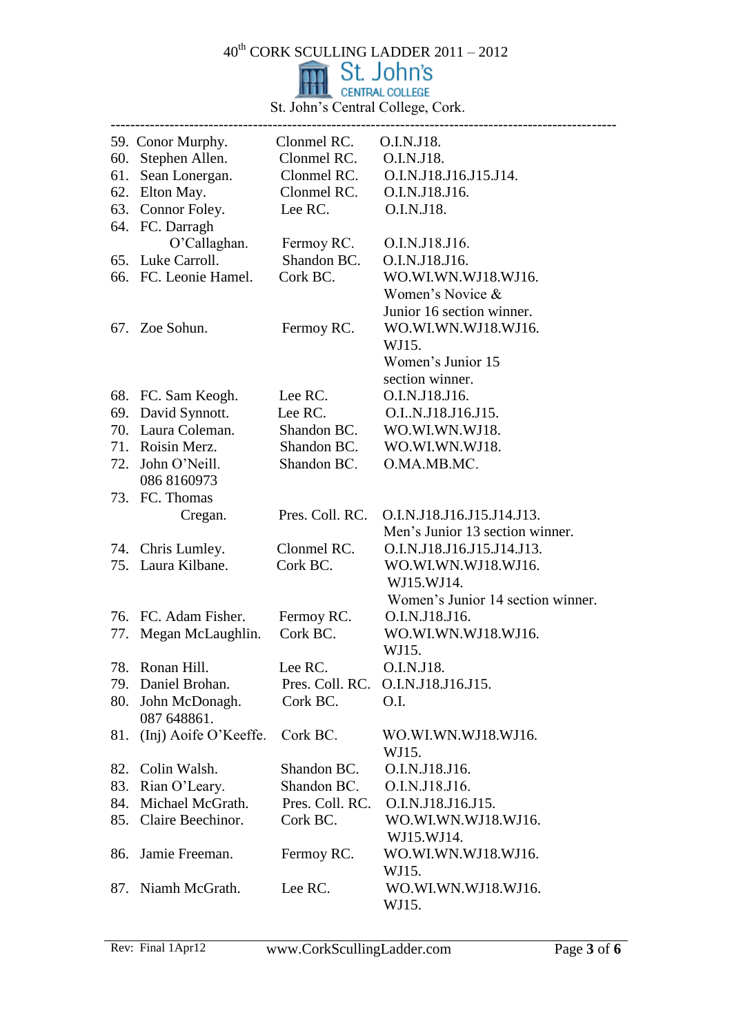$40^{\rm th}$  CORK SCULLING LADDER  $2011$  –  $2012$ 

|  | t. John's،      |
|--|-----------------|
|  |                 |
|  |                 |
|  | <b>CONTRACT</b> |

|     | 59. Conor Murphy.     | Clonmel RC.     | O.I.N.J18.                         |
|-----|-----------------------|-----------------|------------------------------------|
|     | 60. Stephen Allen.    | Clonmel RC.     | O.I.N.J18.                         |
|     | 61. Sean Lonergan.    | Clonmel RC.     | O.I.N.J18.J16.J15.J14.             |
|     | 62. Elton May.        | Clonmel RC.     | O.I.N.J18.J16.                     |
| 63. | Connor Foley.         | Lee RC.         | O.I.N.J18.                         |
|     | 64. FC. Darragh       |                 |                                    |
|     | O'Callaghan.          | Fermoy RC.      | O.I.N.J18.J16.                     |
|     | 65. Luke Carroll.     | Shandon BC.     | O.I.N.J18.J16.                     |
|     | 66. FC. Leonie Hamel. | Cork BC.        | WO.WI.WN.WJ18.WJ16.                |
|     |                       |                 | Women's Novice &                   |
|     |                       |                 | Junior 16 section winner.          |
|     | 67. Zoe Sohun.        | Fermoy RC.      | WO.WI.WN.WJ18.WJ16.                |
|     |                       |                 | WJ15.                              |
|     |                       |                 | Women's Junior 15                  |
|     |                       |                 | section winner.                    |
|     | 68. FC. Sam Keogh.    | Lee RC.         | O.I.N.J18.J16.                     |
|     | 69. David Synnott.    | Lee RC.         | O.I.N.J18.J16.J15.                 |
|     | 70. Laura Coleman.    | Shandon BC.     | WO.WI.WN.WJ18.                     |
|     | 71. Roisin Merz.      | Shandon BC.     | WO.WI.WN.WJ18.                     |
|     | 72. John O'Neill.     | Shandon BC.     | O.MA.MB.MC.                        |
|     | 086 8160973           |                 |                                    |
|     | 73. FC. Thomas        |                 |                                    |
|     | Cregan.               | Pres. Coll. RC. | O.I.N.J18.J16.J15.J14.J13.         |
|     |                       |                 | Men's Junior 13 section winner.    |
|     | 74. Chris Lumley.     | Clonmel RC.     | O.I.N.J18.J16.J15.J14.J13.         |
|     | 75. Laura Kilbane.    | Cork BC.        | WO.WI.WN.WJ18.WJ16.                |
|     |                       |                 | WJ15.WJ14.                         |
|     |                       |                 | Women's Junior 14 section winner.  |
|     | 76. FC. Adam Fisher.  | Fermoy RC.      | O.I.N.J18.J16.                     |
|     | 77. Megan McLaughlin. | Cork BC.        | WO.WI.WN.WJ18.WJ16.                |
|     |                       |                 | WJ15.                              |
| 78. | Ronan Hill.           | Lee RC.         | O.I.N.J18.                         |
|     | 79. Daniel Brohan.    |                 | Pres. Coll. RC. O.I.N.J18.J16.J15. |
| 80. | John McDonagh.        | Cork BC.        | O.I.                               |
|     | 087 648861.           |                 |                                    |
| 81. | (Inj) Aoife O'Keeffe. | Cork BC.        | WO.WI.WN.WJ18.WJ16.                |
|     |                       |                 | WJ15.                              |
| 82. | Colin Walsh.          | Shandon BC.     | O.I.N.J18.J16.                     |
|     | 83. Rian O'Leary.     | Shandon BC.     | O.I.N.J18.J16.                     |
|     | 84. Michael McGrath.  | Pres. Coll. RC. | O.I.N.J18.J16.J15.                 |
| 85. | Claire Beechinor.     | Cork BC.        | WO.WI.WN.WJ18.WJ16.                |
|     |                       |                 | WJ15.WJ14.                         |
| 86. | Jamie Freeman.        | Fermoy RC.      | WO.WI.WN.WJ18.WJ16.                |
|     |                       |                 | WJ15.                              |
|     | 87. Niamh McGrath.    | Lee RC.         | WO.WI.WN.WJ18.WJ16.                |
|     |                       |                 | WJ15.                              |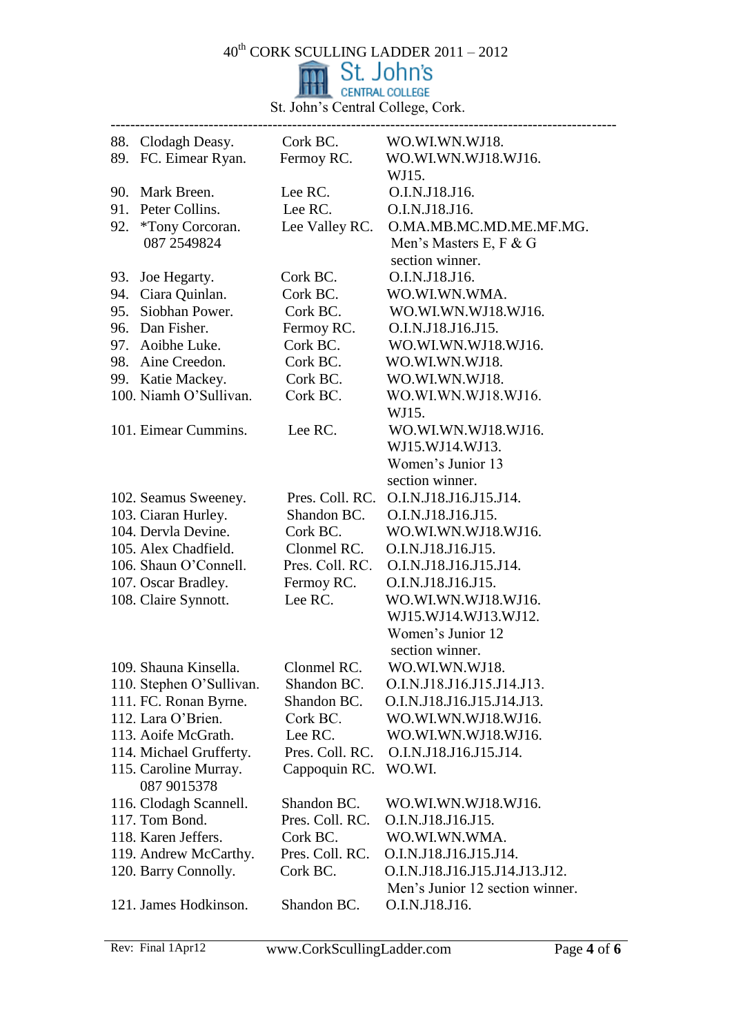$40^{\rm th}$  CORK SCULLING LADDER  $2011$  –  $2012$ 

|     | St. John's             |
|-----|------------------------|
| THE | <b>CENTRAL COLLEGE</b> |

|                                      |                 | 88. Clodagh Deasy. Cork BC. WO.WI.WN.WJ18. |
|--------------------------------------|-----------------|--------------------------------------------|
| 89. FC. Eimear Ryan. Fermoy RC.      |                 | WO.WI.WN.WJ18.WJ16.                        |
| 90. Mark Breen.                      | Lee RC.         | WJ15.<br>O.I.N.J18.J16.                    |
| 91. Peter Collins.                   | Lee RC.         | O.I.N.J18.J16.                             |
| 92. *Tony Corcoran.                  | Lee Valley RC.  | O.MA.MB.MC.MD.ME.MF.MG.                    |
| 087 2549824                          |                 | Men's Masters E, F & G<br>section winner.  |
| 93. Joe Hegarty.                     | Cork BC.        | O.I.N.J18.J16.                             |
| 94. Ciara Quinlan.                   | Cork BC.        | WO.WI.WN.WMA.                              |
| 95. Siobhan Power.                   | Cork BC.        | WO.WI.WN.WJ18.WJ16.                        |
| 96. Dan Fisher.                      | Fermoy RC.      | O.I.N.J18.J16.J15.                         |
| 97. Aoibhe Luke.                     | Cork BC.        | WO.WI.WN.WJ18.WJ16.                        |
| 98. Aine Creedon.                    | Cork BC.        | WO.WI.WN.WJ18.                             |
| 99. Katie Mackey.                    | Cork BC.        | WO.WI.WN.WJ18.                             |
| 100. Niamh O'Sullivan.               | Cork BC.        | WO.WI.WN.WJ18.WJ16.                        |
|                                      |                 | WJ15.                                      |
| 101. Eimear Cummins.                 | Lee RC.         | WO.WI.WN.WJ18.WJ16.                        |
|                                      |                 | WJ15.WJ14.WJ13.                            |
|                                      |                 | Women's Junior 13                          |
|                                      |                 | section winner.                            |
| 102. Seamus Sweeney.                 | Pres. Coll. RC. | O.I.N.J18.J16.J15.J14.                     |
| 103. Ciaran Hurley.                  | Shandon BC.     | O.I.N.J18.J16.J15.                         |
| 104. Dervla Devine.                  | Cork BC.        | WO.WI.WN.WJ18.WJ16.                        |
| 105. Alex Chadfield.                 | Clonmel RC.     | O.I.N.J18.J16.J15.                         |
| 106. Shaun O'Connell.                | Pres. Coll. RC. | O.I.N.J18.J16.J15.J14.                     |
| 107. Oscar Bradley.                  | Fermoy RC.      | O.I.N.J18.J16.J15.<br>WO.WI.WN.WJ18.WJ16.  |
| 108. Claire Synnott.                 | Lee RC.         | WJ15.WJ14.WJ13.WJ12.                       |
|                                      |                 | Women's Junior 12                          |
|                                      |                 | section winner.                            |
| 109. Shauna Kinsella.                | Clonmel RC      | WO.WI.WN.WJ18.                             |
| 110. Stephen O'Sullivan.             | Shandon BC.     | O.I.N.J18.J16.J15.J14.J13.                 |
| 111. FC. Ronan Byrne.                | Shandon BC.     | O.I.N.J18.J16.J15.J14.J13.                 |
| 112. Lara O'Brien.                   | Cork BC.        | WO.WI.WN.WJ18.WJ16.                        |
| 113. Aoife McGrath.                  | Lee RC.         | WO.WI.WN.WJ18.WJ16.                        |
| 114. Michael Grufferty.              | Pres. Coll. RC. | O.I.N.J18.J16.J15.J14.                     |
| 115. Caroline Murray.<br>087 9015378 | Cappoquin RC.   | WO.WI.                                     |
| 116. Clodagh Scannell.               | Shandon BC.     | WO.WI.WN.WJ18.WJ16.                        |
| 117. Tom Bond.                       | Pres. Coll. RC. | O.I.N.J18.J16.J15.                         |
| 118. Karen Jeffers.                  | Cork BC.        | WO.WI.WN.WMA.                              |
| 119. Andrew McCarthy.                | Pres. Coll. RC. | O.I.N.J18.J16.J15.J14.                     |
| 120. Barry Connolly.                 | Cork BC.        | O.I.N.J18.J16.J15.J14.J13.J12.             |
|                                      |                 | Men's Junior 12 section winner.            |
| 121. James Hodkinson.                | Shandon BC.     | O.I.N.J18.J16.                             |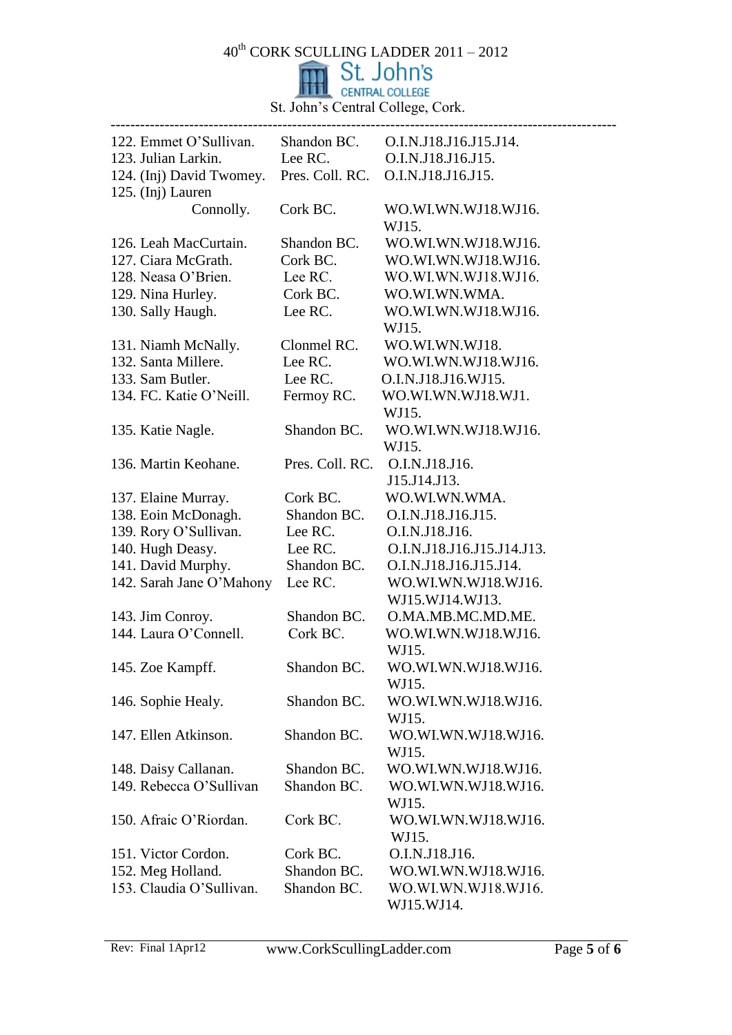# $40^{th}$  CORK SCULLING LADDER  $2011 - 2012$

| RI | St. John's      |
|----|-----------------|
|    | CENTRAL COLLEGE |
|    |                 |

| 122. Emmet O'Sullivan. Shandon BC. O.I.N.J18.J16.J15.J14.   |             |                                |
|-------------------------------------------------------------|-------------|--------------------------------|
| 123. Julian Larkin.                                         | Lee RC.     | O.I.N.J18.J16.J15.             |
| 124. (Inj) David Twomey. Pres. Coll. RC. O.I.N.J18.J16.J15. |             |                                |
| 125. $(Inj)$ Lauren                                         |             |                                |
| Connolly.                                                   | Cork BC.    | WO.WI.WN.WJ18.WJ16.            |
|                                                             |             | WJ15.                          |
| 126. Leah MacCurtain.                                       | Shandon BC. | WO.WI.WN.WJ18.WJ16.            |
| 127. Ciara McGrath.                                         |             | Cork BC. WO.WI.WN.WJ18.WJ16.   |
| 128. Neasa O'Brien. Lee RC. WO.WI.WN.WJ18.WJ16.             |             |                                |
| 129. Nina Hurley.                                           | Cork BC.    | WO.WI.WN.WMA.                  |
| 130. Sally Haugh.                                           | Lee RC.     | WO.WI.WN.WJ18.WJ16.            |
|                                                             |             | WJ15.                          |
| 131. Niamh McNally.                                         | Clonmel RC. | WO.WI.WN.WJ18.                 |
| 132. Santa Millere. Lee RC.                                 |             | WO.WI.WN.WJ18.WJ16.            |
| 133. Sam Butler.                                            | Lee RC.     | O.I.N.J18.J16.WJ15.            |
| 134. FC. Katie O'Neill.                                     | Fermoy RC.  | WO.WI.WN.WJ18.WJ1.             |
|                                                             |             | WJ15.                          |
| 135. Katie Nagle.                                           | Shandon BC. | WO.WI.WN.WJ18.WJ16.            |
|                                                             |             | WJ15.                          |
| 136. Martin Keohane.                                        |             | Pres. Coll. RC. O.I.N.J18.J16. |
|                                                             |             | J15.J14.J13.                   |
|                                                             | Cork BC.    | WO.WI.WN.WMA.                  |
| 137. Elaine Murray.<br>138. Eoin McDonagh.                  | Shandon BC. | O.I.N.J18.J16.J15.             |
|                                                             | Lee RC.     | O.I.N.J18.J16.                 |
| 139. Rory O'Sullivan.                                       |             | O.I.N.J18.J16.J15.J14.J13.     |
| 140. Hugh Deasy.                                            | Lee RC.     |                                |
| 141. David Murphy.                                          | Shandon BC. | O.I.N.J18.J16.J15.J14.         |
| 142. Sarah Jane O'Mahony                                    | Lee RC.     | WO.WI.WN.WJ18.WJ16.            |
|                                                             |             | WJ15.WJ14.WJ13.                |
| 143. Jim Conroy.                                            | Shandon BC. | O.MA.MB.MC.MD.ME.              |
| 144. Laura O'Connell.                                       | Cork BC.    | WO.WI.WN.WJ18.WJ16.            |
|                                                             |             | WJ15.                          |
| 145. Zoe Kampff.                                            | Shandon BC. | WO.WI.WN.WJ18.WJ16.            |
|                                                             |             | WJ15.                          |
| 146. Sophie Healy.                                          | Shandon BC. | WO.WI.WN.WJ18.WJ16.            |
|                                                             |             | WJ15.                          |
| 147. Ellen Atkinson.                                        | Shandon BC. | WO.WI.WN.WJ18.WJ16.            |
|                                                             |             | WJ15.                          |
| 148. Daisy Callanan.                                        | Shandon BC. | WO.WI.WN.WJ18.WJ16.            |
| 149. Rebecca O'Sullivan                                     | Shandon BC. | WO.WI.WN.WJ18.WJ16.            |
|                                                             |             | WJ15.                          |
| 150. Afraic O'Riordan.                                      | Cork BC.    | WO.WI.WN.WJ18.WJ16.            |
|                                                             |             | WJ15.                          |
| 151. Victor Cordon.                                         | Cork BC.    | O.I.N.J18.J16.                 |
| 152. Meg Holland.                                           | Shandon BC. | WO.WI.WN.WJ18.WJ16.            |
| 153. Claudia O'Sullivan.                                    | Shandon BC. | WO.WI.WN.WJ18.WJ16.            |
|                                                             |             | WJ15.WJ14.                     |